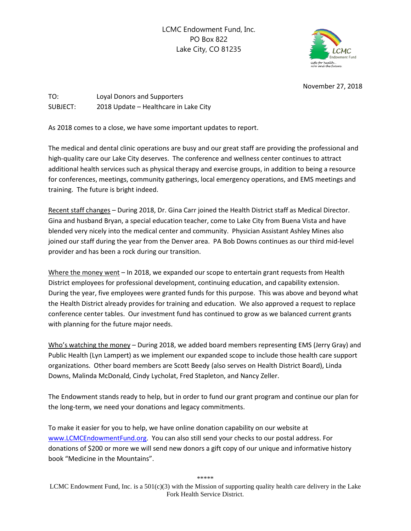LCMC Endowment Fund, Inc. PO Box 822 Lake City, CO 81235



November 27, 2018

TO: Loyal Donors and Supporters SUBJECT: 2018 Update – Healthcare in Lake City

As 2018 comes to a close, we have some important updates to report.

The medical and dental clinic operations are busy and our great staff are providing the professional and high-quality care our Lake City deserves. The conference and wellness center continues to attract additional health services such as physical therapy and exercise groups, in addition to being a resource for conferences, meetings, community gatherings, local emergency operations, and EMS meetings and training. The future is bright indeed.

Recent staff changes – During 2018, Dr. Gina Carr joined the Health District staff as Medical Director. Gina and husband Bryan, a special education teacher, come to Lake City from Buena Vista and have blended very nicely into the medical center and community. Physician Assistant Ashley Mines also joined our staff during the year from the Denver area. PA Bob Downs continues as our third mid-level provider and has been a rock during our transition.

Where the money went - In 2018, we expanded our scope to entertain grant requests from Health District employees for professional development, continuing education, and capability extension. During the year, five employees were granted funds for this purpose. This was above and beyond what the Health District already provides for training and education. We also approved a request to replace conference center tables. Our investment fund has continued to grow as we balanced current grants with planning for the future major needs.

Who's watching the money – During 2018, we added board members representing EMS (Jerry Gray) and Public Health (Lyn Lampert) as we implement our expanded scope to include those health care support organizations. Other board members are Scott Beedy (also serves on Health District Board), Linda Downs, Malinda McDonald, Cindy Lycholat, Fred Stapleton, and Nancy Zeller.

The Endowment stands ready to help, but in order to fund our grant program and continue our plan for the long-term, we need your donations and legacy commitments.

To make it easier for you to help, we have online donation capability on our website at [www.LCMCEndowmentFund.org.](http://www.lcmcendowmentfund.org/) You can also still send your checks to our postal address. For donations of \$200 or more we will send new donors a gift copy of our unique and informative history book "Medicine in the Mountains".

\*\*\*\*\*